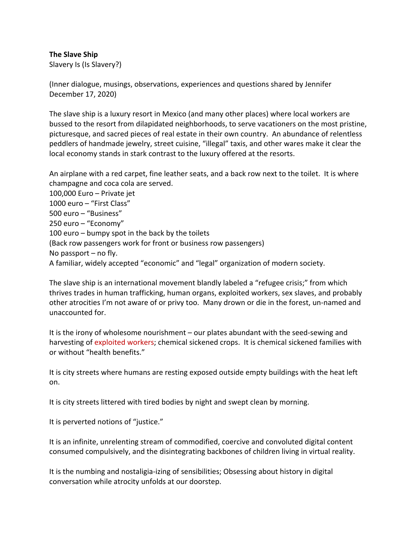#### **The Slave Ship**

Slavery Is (Is Slavery?)

(Inner dialogue, musings, observations, experiences and questions shared by Jennifer December 17, 2020)

The slave ship is a luxury resort in Mexico (and many other places) where local workers are bussed to the resort from dilapidated neighborhoods, to serve vacationers on the most pristine, picturesque, and sacred pieces of real estate in their own country. An abundance of relentless peddlers of handmade jewelry, street cuisine, "illegal" taxis, and other wares make it clear the local economy stands in stark contrast to the luxury offered at the resorts.

An airplane with a red carpet, fine leather seats, and a back row next to the toilet. It is where champagne and coca cola are served. 100,000 Euro – Private jet 1000 euro – "First Class" 500 euro – "Business" 250 euro – "Economy" 100 euro – bumpy spot in the back by the toilets (Back row passengers work for front or business row passengers) No passport – no fly. A familiar, widely accepted "economic" and "legal" organization of modern society.

The slave ship is an international movement blandly labeled a "refugee crisis;" from which thrives trades in human trafficking, human organs, exploited workers, sex slaves, and probably other atrocities I'm not aware of or privy too. Many drown or die in the forest, un-named and unaccounted for.

It is the irony of wholesome nourishment – our plates abundant with the seed-sewing and harvesting of exploited workers; chemical sickened crops. It is chemical sickened families with or without "health benefits."

It is city streets where humans are resting exposed outside empty buildings with the heat left on.

It is city streets littered with tired bodies by night and swept clean by morning.

It is perverted notions of "justice."

It is an infinite, unrelenting stream of commodified, coercive and convoluted digital content consumed compulsively, and the disintegrating backbones of children living in virtual reality.

It is the numbing and nostaligia-izing of sensibilities; Obsessing about history in digital conversation while atrocity unfolds at our doorstep.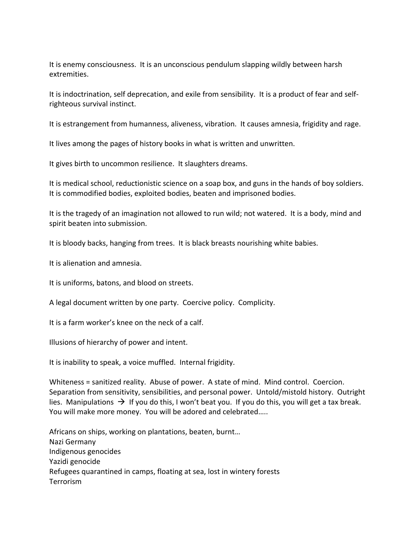It is enemy consciousness. It is an unconscious pendulum slapping wildly between harsh extremities.

It is indoctrination, self deprecation, and exile from sensibility. It is a product of fear and selfrighteous survival instinct.

It is estrangement from humanness, aliveness, vibration. It causes amnesia, frigidity and rage.

It lives among the pages of history books in what is written and unwritten.

It gives birth to uncommon resilience. It slaughters dreams.

It is medical school, reductionistic science on a soap box, and guns in the hands of boy soldiers. It is commodified bodies, exploited bodies, beaten and imprisoned bodies.

It is the tragedy of an imagination not allowed to run wild; not watered. It is a body, mind and spirit beaten into submission.

It is bloody backs, hanging from trees. It is black breasts nourishing white babies.

It is alienation and amnesia.

It is uniforms, batons, and blood on streets.

A legal document written by one party. Coercive policy. Complicity.

It is a farm worker's knee on the neck of a calf.

Illusions of hierarchy of power and intent.

It is inability to speak, a voice muffled. Internal frigidity.

Whiteness = sanitized reality. Abuse of power. A state of mind. Mind control. Coercion. Separation from sensitivity, sensibilities, and personal power. Untold/mistold history. Outright lies. Manipulations  $\rightarrow$  If you do this, I won't beat you. If you do this, you will get a tax break. You will make more money. You will be adored and celebrated…..

Africans on ships, working on plantations, beaten, burnt… Nazi Germany Indigenous genocides Yazidi genocide Refugees quarantined in camps, floating at sea, lost in wintery forests Terrorism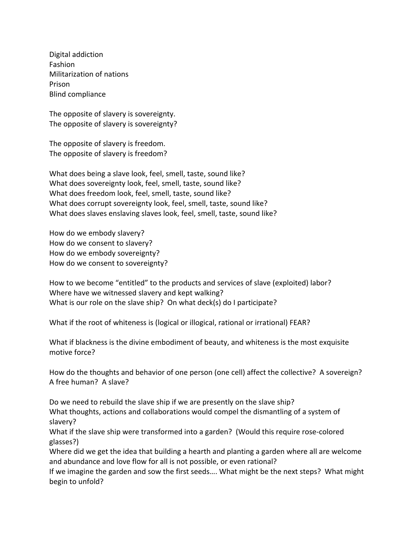Digital addiction Fashion Militarization of nations Prison Blind compliance

The opposite of slavery is sovereignty. The opposite of slavery is sovereignty?

The opposite of slavery is freedom. The opposite of slavery is freedom?

What does being a slave look, feel, smell, taste, sound like? What does sovereignty look, feel, smell, taste, sound like? What does freedom look, feel, smell, taste, sound like? What does corrupt sovereignty look, feel, smell, taste, sound like? What does slaves enslaving slaves look, feel, smell, taste, sound like?

How do we embody slavery? How do we consent to slavery? How do we embody sovereignty? How do we consent to sovereignty?

How to we become "entitled" to the products and services of slave (exploited) labor? Where have we witnessed slavery and kept walking? What is our role on the slave ship? On what deck(s) do I participate?

What if the root of whiteness is (logical or illogical, rational or irrational) FEAR?

What if blackness is the divine embodiment of beauty, and whiteness is the most exquisite motive force?

How do the thoughts and behavior of one person (one cell) affect the collective? A sovereign? A free human? A slave?

Do we need to rebuild the slave ship if we are presently on the slave ship? What thoughts, actions and collaborations would compel the dismantling of a system of slavery?

What if the slave ship were transformed into a garden? (Would this require rose-colored glasses?)

Where did we get the idea that building a hearth and planting a garden where all are welcome and abundance and love flow for all is not possible, or even rational?

If we imagine the garden and sow the first seeds…. What might be the next steps? What might begin to unfold?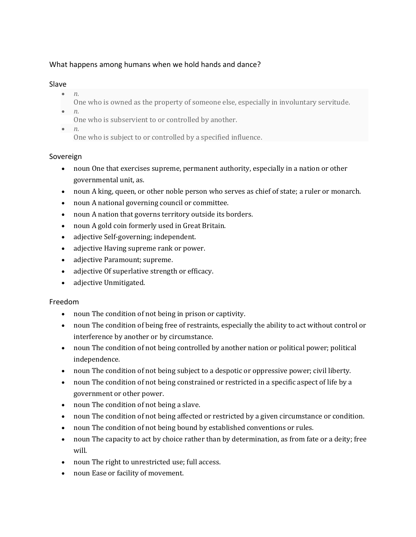# What happens among humans when we hold hands and dance?

### Slave

- *n.*
	- One who is owned as the property of someone else, especially in involuntary servitude.
- *n.* One who is subservient to or controlled by another.
- *n.*
	- One who is subject to or controlled by a specified influence.

# Sovereign

- noun One that exercises supreme, permanent authority, especially in a nation or other governmental unit, as.
- noun A king, queen, or other noble person who serves as chief of state; a ruler or monarch.
- noun A national governing council or committee.
- noun A nation that governs territory outside its borders.
- noun A gold coin formerly used in Great Britain.
- adjective Self-governing; independent.
- adjective Having supreme rank or power.
- adjective Paramount; supreme.
- adjective Of superlative strength or efficacy.
- adjective Unmitigated.

# Freedom

- noun The condition of not being in prison or captivity.
- noun The condition of being free of restraints, especially the ability to act without control or interference by another or by circumstance.
- noun The condition of not being controlled by another nation or political power; political independence.
- noun The condition of not being subject to a despotic or oppressive power; civil liberty.
- noun The condition of not being constrained or restricted in a specific aspect of life by a government or other power.
- noun The condition of not being a slave.
- noun The condition of not being affected or restricted by a given circumstance or condition.
- noun The condition of not being bound by established conventions or rules.
- noun The capacity to act by choice rather than by determination, as from fate or a deity; free will.
- noun The right to unrestricted use; full access.
- noun Ease or facility of movement.